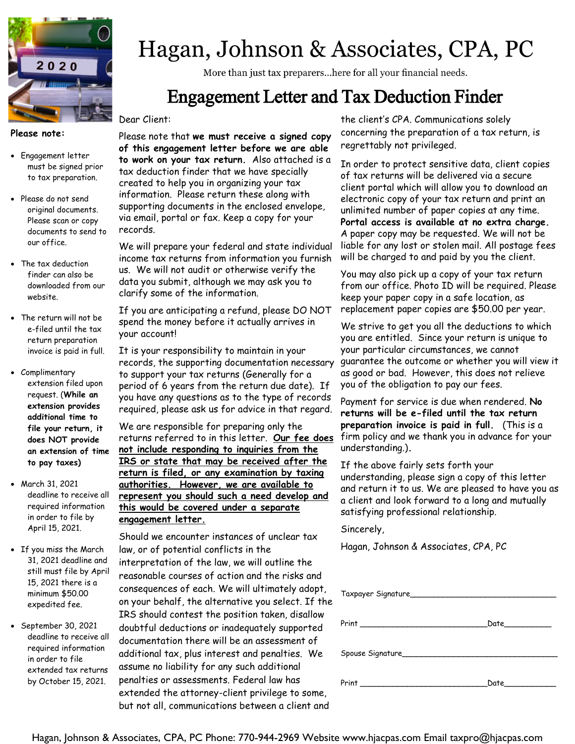

#### **Please note:**

- Engagement letter must be signed prior to tax preparation.
- Please do not send original documents. Please scan or copy documents to send to our office.
- The tax deduction finder can also be downloaded from our website.
- The return will not be e-filed until the tax return preparation invoice is paid in full.
- Complimentary extension filed upon request. (**While an extension provides additional time to file your return, it does NOT provide an extension of time to pay taxes)**
- March 31, 2021 deadline to receive all required information in order to file by April 15, 2021.
- If you miss the March 31, 2021 deadline and still must file by April 15, 2021 there is a minimum \$50.00 expedited fee.
- September 30, 2021 deadline to receive all required information in order to file extended tax returns by October 15, 2021.

# Hagan, Johnson & Associates, CPA, PC

More than just tax preparers...here for all your financial needs.

### Engagement Letter and Tax Deduction Finder

#### Dear Client:

Please note that **we must receive a signed copy of this engagement letter before we are able to work on your tax return.** Also attached is a tax deduction finder that we have specially created to help you in organizing your tax information. Please return these along with supporting documents in the enclosed envelope, via email, portal or fax. Keep a copy for your records.

We will prepare your federal and state individual income tax returns from information you furnish us. We will not audit or otherwise verify the data you submit, although we may ask you to clarify some of the information.

If you are anticipating a refund, please DO NOT spend the money before it actually arrives in your account!

It is your responsibility to maintain in your records, the supporting documentation necessary to support your tax returns (Generally for a period of 6 years from the return due date). If you have any questions as to the type of records required, please ask us for advice in that regard.

We are responsible for preparing only the returns referred to in this letter. **Our fee does not include responding to inquiries from the IRS or state that may be received after the return is filed, or any examination by taxing authorities. However, we are available to represent you should such a need develop and this would be covered under a separate engagement letter.**

Should we encounter instances of unclear tax law, or of potential conflicts in the interpretation of the law, we will outline the reasonable courses of action and the risks and consequences of each. We will ultimately adopt, on your behalf, the alternative you select. If the IRS should contest the position taken, disallow doubtful deductions or inadequately supported documentation there will be an assessment of additional tax, plus interest and penalties. We assume no liability for any such additional penalties or assessments. Federal law has extended the attorney-client privilege to some, but not all, communications between a client and

the client's CPA. Communications solely concerning the preparation of a tax return, is regrettably not privileged.

In order to protect sensitive data, client copies of tax returns will be delivered via a secure client portal which will allow you to download an electronic copy of your tax return and print an unlimited number of paper copies at any time. **Portal access is available at no extra charge.**  A paper copy may be requested. We will not be liable for any lost or stolen mail. All postage fees will be charged to and paid by you the client.

You may also pick up a copy of your tax return from our office. Photo ID will be required. Please keep your paper copy in a safe location, as replacement paper copies are \$50.00 per year.

We strive to get you all the deductions to which you are entitled. Since your return is unique to your particular circumstances, we cannot guarantee the outcome or whether you will view it as good or bad. However, this does not relieve you of the obligation to pay our fees.

Payment for service is due when rendered. **No returns will be e-filed until the tax return preparation invoice is paid in full.** (This is a firm policy and we thank you in advance for your understanding.)**.** 

If the above fairly sets forth your understanding, please sign a copy of this letter and return it to us. We are pleased to have you as a client and look forward to a long and mutually satisfying professional relationship.

Sincerely,

Hagan, Johnson & Associates, CPA, PC

| Taxpayer Signature                             |                                                                                                                                                                                                                                     |
|------------------------------------------------|-------------------------------------------------------------------------------------------------------------------------------------------------------------------------------------------------------------------------------------|
|                                                | Date _________                                                                                                                                                                                                                      |
|                                                |                                                                                                                                                                                                                                     |
| <u>Print _________________________________</u> | <b>Date</b> the control of the control of the control of the control of the control of the control of the control of the control of the control of the control of the control of the control of the control of the control of the c |

Hagan, Johnson & Associates, CPA, PC Phone: 770-944-2969 Website www.hjacpas.com Email taxpro@hjacpas.com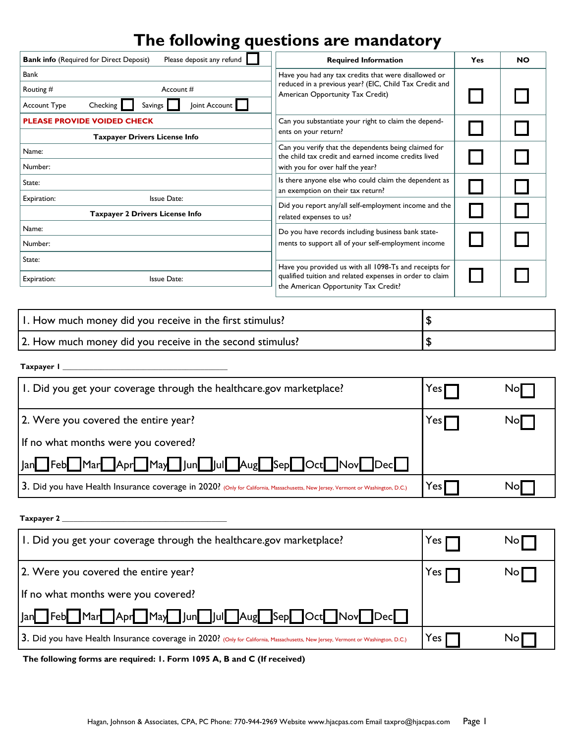### **The following questions are mandatory**

| <b>Bank info (Required for Direct Deposit)</b> | Please deposit any refund                                                                                    | <b>Required Information</b>                                                                                                                                | Yes | <b>NO</b> |
|------------------------------------------------|--------------------------------------------------------------------------------------------------------------|------------------------------------------------------------------------------------------------------------------------------------------------------------|-----|-----------|
| Bank                                           |                                                                                                              | Have you had any tax credits that were disallowed or                                                                                                       |     |           |
| Routing $#$<br>Account #                       |                                                                                                              | reduced in a previous year? (EIC, Child Tax Credit and<br>American Opportunity Tax Credit)                                                                 |     |           |
| Account Type                                   | Joint Account<br>Checking<br><b>Savings</b>                                                                  |                                                                                                                                                            |     |           |
| <b>PLEASE PROVIDE VOIDED CHECK</b>             |                                                                                                              | Can you substantiate your right to claim the depend-                                                                                                       |     |           |
|                                                | <b>Taxpayer Drivers License Info</b>                                                                         | ents on your return?                                                                                                                                       |     |           |
| Name:                                          | Can you verify that the dependents being claimed for<br>the child tax credit and earned income credits lived |                                                                                                                                                            |     |           |
| Number:                                        |                                                                                                              | with you for over half the year?                                                                                                                           |     |           |
| State:                                         |                                                                                                              | Is there anyone else who could claim the dependent as                                                                                                      |     |           |
| Issue Date:<br>Expiration:                     |                                                                                                              | an exemption on their tax return?                                                                                                                          |     |           |
| <b>Taxpayer 2 Drivers License Info</b>         |                                                                                                              | Did you report any/all self-employment income and the<br>related expenses to us?                                                                           |     |           |
| Name:                                          |                                                                                                              | Do you have records including business bank state-                                                                                                         |     |           |
| Number:                                        |                                                                                                              | ments to support all of your self-employment income                                                                                                        |     |           |
| State:                                         |                                                                                                              |                                                                                                                                                            |     |           |
| Expiration:<br><b>Issue Date:</b>              |                                                                                                              | Have you provided us with all 1098-Ts and receipts for<br>qualified tuition and related expenses in order to claim<br>the American Opportunity Tax Credit? |     |           |

| 1. How much money did you receive in the first stimulus?  |  |
|-----------------------------------------------------------|--|
| 2. How much money did you receive in the second stimulus? |  |

**Taxpayer 1 \_\_\_\_\_\_\_\_\_\_\_\_\_\_\_\_\_\_\_\_\_\_\_\_\_\_\_\_\_\_\_\_\_\_\_\_\_\_\_\_\_\_\_**

| 1. Did you get your coverage through the healthcare.gov marketplace?                                                             | Yes I                      | Nol |
|----------------------------------------------------------------------------------------------------------------------------------|----------------------------|-----|
| 2. Were you covered the entire year?                                                                                             | Yes                        | Nol |
| If no what months were you covered?                                                                                              |                            |     |
| Mar Apr May Jun Jul Aug Sep Oct Nov Dec<br>Feb<br>lan                                                                            |                            |     |
| 3. Did you have Health Insurance coverage in 2020? (Only for California, Massachusetts, New Jersey, Vermont or Washington, D.C.) | $\mathsf{Yes}\,\mathsf{I}$ | Nol |

### **Taxpayer 2 \_\_\_\_\_\_\_\_\_\_\_\_\_\_\_\_\_\_\_\_\_\_\_\_\_\_\_\_\_\_\_\_\_\_\_\_\_\_\_\_\_\_\_**

| I. Did you get your coverage through the healthcare.gov marketplace?                                                             | res   | Nol |
|----------------------------------------------------------------------------------------------------------------------------------|-------|-----|
| [2. Were you covered the entire year?                                                                                            | Yes.  | Nol |
| If no what months were you covered?                                                                                              |       |     |
| Mar Apr May Jun Jul Aug Sep Oct Nov Dec<br>$\mathsf{Feb}$<br> an                                                                 |       |     |
| 3. Did you have Health Insurance coverage in 2020? (Only for California, Massachusetts, New Jersey, Vermont or Washington, D.C.) | res ( | No  |

**The following forms are required: 1. Form 1095 A, B and C (If received)**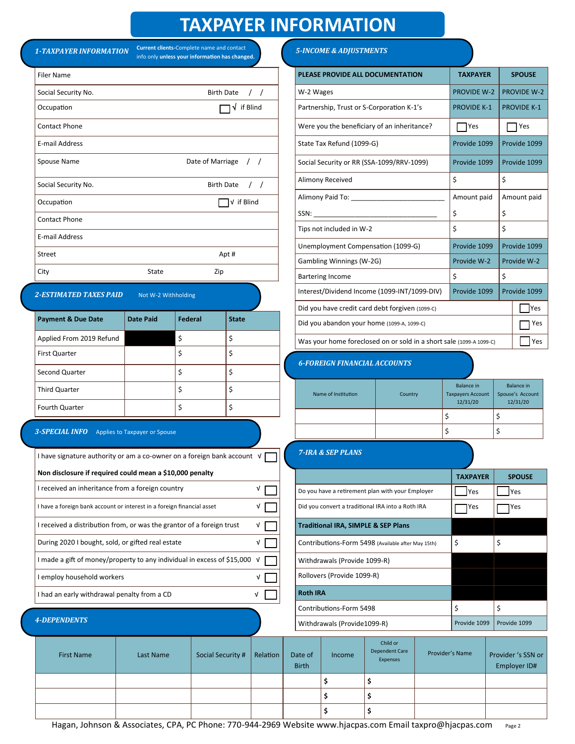### **TAXPAYER INFORMATION**

|                                                                           |                               |                                                                                             |                      |            |                                                                     |                         | IMAFAI EN INFUNNIAI IUN           |                                                    |                                      |                    |                              |
|---------------------------------------------------------------------------|-------------------------------|---------------------------------------------------------------------------------------------|----------------------|------------|---------------------------------------------------------------------|-------------------------|-----------------------------------|----------------------------------------------------|--------------------------------------|--------------------|------------------------------|
| <b>1-TAXPAYER INFORMATION</b>                                             |                               | Current clients-Complete name and contact<br>info only unless your information has changed. |                      |            |                                                                     |                         | <b>5-INCOME &amp; ADJUSTMENTS</b> |                                                    |                                      |                    |                              |
| <b>Filer Name</b>                                                         |                               |                                                                                             |                      |            |                                                                     |                         |                                   | PLEASE PROVIDE ALL DOCUMENTATION                   | <b>TAXPAYER</b>                      |                    | <b>SPOUSE</b>                |
| Social Security No.                                                       |                               |                                                                                             | Birth Date / /       |            |                                                                     | W-2 Wages               |                                   |                                                    | <b>PROVIDE W-2</b>                   |                    | <b>PROVIDE W-2</b>           |
| Occupation                                                                |                               |                                                                                             | $\sqrt{ }$ if Blind  |            |                                                                     |                         |                                   | Partnership, Trust or S-Corporation K-1's          | <b>PROVIDE K-1</b>                   |                    | <b>PROVIDE K-1</b>           |
| <b>Contact Phone</b>                                                      |                               |                                                                                             |                      |            |                                                                     |                         |                                   | Were you the beneficiary of an inheritance?        | <b>Paragona</b>                      |                    | Yes                          |
| E-mail Address                                                            |                               |                                                                                             |                      |            |                                                                     |                         | State Tax Refund (1099-G)         |                                                    | Provide 1099                         |                    | Provide 1099                 |
| Spouse Name                                                               |                               | Date of Marriage / /                                                                        |                      |            |                                                                     |                         |                                   | Social Security or RR (SSA-1099/RRV-1099)          | Provide 1099                         |                    | Provide 1099                 |
| Social Security No.                                                       |                               |                                                                                             | Birth Date / /       |            |                                                                     |                         | Alimony Received                  |                                                    | \$                                   | \$                 |                              |
| Occupation                                                                |                               |                                                                                             | $\bigcap$ v if Blind |            |                                                                     |                         |                                   |                                                    | Amount paid                          | Amount paid        |                              |
| <b>Contact Phone</b>                                                      |                               |                                                                                             |                      |            |                                                                     |                         |                                   |                                                    | \$                                   | \$                 |                              |
| E-mail Address                                                            |                               |                                                                                             |                      |            |                                                                     |                         | Tips not included in W-2          |                                                    | \$                                   | \$                 |                              |
| Street                                                                    |                               |                                                                                             | Apt#                 |            |                                                                     |                         |                                   | Unemployment Compensation (1099-G)                 | Provide 1099                         |                    | Provide 1099                 |
|                                                                           |                               |                                                                                             |                      |            |                                                                     |                         | Gambling Winnings (W-2G)          |                                                    | Provide W-2                          |                    | Provide W-2                  |
| City                                                                      | State                         | Zip                                                                                         |                      |            |                                                                     |                         | <b>Bartering Income</b>           |                                                    | \$                                   | \$                 |                              |
| <b>2-ESTIMATED TAXES PAID</b>                                             | Not W-2 Withholding           |                                                                                             |                      |            |                                                                     |                         |                                   | Interest/Dividend Income (1099-INT/1099-DIV)       | Provide 1099                         |                    | Provide 1099                 |
| <b>Payment &amp; Due Date</b>                                             | <b>Date Paid</b>              | Federal                                                                                     | <b>State</b>         |            |                                                                     |                         |                                   | Did you have credit card debt forgiven (1099-C)    |                                      |                    | Yes                          |
| Applied From 2019 Refund                                                  |                               | \$                                                                                          | \$                   |            | Did you abandon your home (1099-A, 1099-C)                          |                         |                                   |                                                    |                                      | Yes                |                              |
| First Quarter                                                             |                               | \$                                                                                          | \$                   |            | Was your home foreclosed on or sold in a short sale (1099-A 1099-C) |                         |                                   |                                                    | <b>I</b> Yes                         |                    |                              |
| Second Quarter                                                            |                               | \$                                                                                          | \$                   |            |                                                                     |                         |                                   | <b>6-FOREIGN FINANCIAL ACCOUNTS</b>                |                                      |                    |                              |
| Third Quarter                                                             |                               | \$                                                                                          | \$                   |            |                                                                     |                         |                                   |                                                    | <b>Balance in</b>                    |                    | <b>Balance in</b>            |
| Fourth Quarter                                                            |                               | \$                                                                                          | \$                   |            |                                                                     |                         | Name of Institution               | Country                                            | <b>Taxpayers Account</b><br>12/31/20 |                    | Spouse's Account<br>12/31/20 |
|                                                                           |                               |                                                                                             |                      |            |                                                                     |                         |                                   |                                                    | \$                                   | \$                 |                              |
| <b>3-SPECIAL INFO</b>                                                     | Applies to Taxpayer or Spouse |                                                                                             |                      |            |                                                                     |                         |                                   |                                                    | \$                                   | \$                 |                              |
| I have signature authority or am a co-owner on a foreign bank account V   |                               |                                                                                             |                      |            |                                                                     |                         | <b>7-IRA &amp; SEP PLANS</b>      |                                                    |                                      |                    |                              |
| Non disclosure if required could mean a \$10,000 penalty                  |                               |                                                                                             |                      |            |                                                                     |                         |                                   |                                                    | <b>TAXPAYER</b>                      |                    | <b>SPOUSE</b>                |
| I received an inheritance from a foreign country                          |                               |                                                                                             |                      | V          |                                                                     |                         |                                   | Do you have a retirement plan with your Employer   | <b>Yes</b>                           |                    | <b>Yes</b>                   |
| I have a foreign bank account or interest in a foreign financial asset    |                               |                                                                                             |                      | V          |                                                                     |                         |                                   | Did you convert a traditional IRA into a Roth IRA  | ]Yes                                 |                    | ]Yes                         |
| I received a distribution from, or was the grantor of a foreign trust     |                               |                                                                                             |                      | V          |                                                                     |                         |                                   | <b>Traditional IRA, SIMPLE &amp; SEP Plans</b>     |                                      |                    |                              |
| During 2020 I bought, sold, or gifted real estate                         |                               |                                                                                             |                      | V          |                                                                     |                         |                                   | Contributions-Form 5498 (Available after May 15th) | \$                                   | \$                 |                              |
| I made a gift of money/property to any individual in excess of \$15,000 V |                               |                                                                                             |                      |            |                                                                     |                         | Withdrawals (Provide 1099-R)      |                                                    |                                      |                    |                              |
| employ household workers                                                  |                               |                                                                                             |                      | $\sqrt{ }$ |                                                                     |                         | Rollovers (Provide 1099-R)        |                                                    |                                      |                    |                              |
| I had an early withdrawal penalty from a CD                               |                               |                                                                                             |                      | V          |                                                                     | <b>Roth IRA</b>         |                                   |                                                    |                                      |                    |                              |
|                                                                           |                               |                                                                                             |                      |            |                                                                     |                         | Contributions-Form 5498           |                                                    | \$                                   | \$                 |                              |
| <b>4-DEPENDENTS</b>                                                       |                               |                                                                                             |                      |            |                                                                     |                         | Withdrawals (Provide1099-R)       |                                                    | Provide 1099                         |                    | Provide 1099                 |
| <b>First Name</b>                                                         | Last Name                     |                                                                                             | Social Security #    | Relation   |                                                                     | Date of<br><b>Birth</b> | Income                            | Child or<br><b>Dependent Care</b><br>Expenses      | Provider's Name                      | Provider 's SSN or | Employer ID#                 |
|                                                                           |                               |                                                                                             |                      |            |                                                                     |                         | \$                                | \$                                                 |                                      |                    |                              |
|                                                                           |                               |                                                                                             |                      |            |                                                                     |                         | \$                                | \$                                                 |                                      |                    |                              |
|                                                                           |                               |                                                                                             |                      |            |                                                                     |                         | \$                                | \$                                                 |                                      |                    |                              |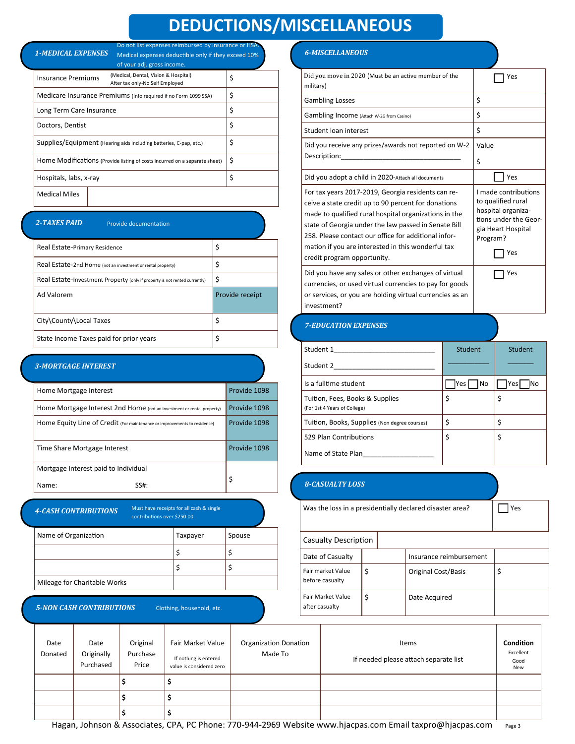## **DEDUCTIONS/MISCELLANEOUS**

*1-MEDICAL EXPENSES* Medical expenses deductible only if they exceed 10% Do not list expenses reimbursed by insurance or HSA.

|                                                                            | of your adj. gross income.                                              |    |
|----------------------------------------------------------------------------|-------------------------------------------------------------------------|----|
| <b>Insurance Premiums</b>                                                  | (Medical, Dental, Vision & Hospital)<br>After tax only-No Self Employed | \$ |
|                                                                            | Medicare Insurance Premiums (Info required if no Form 1099 SSA)         | \$ |
| Long Term Care Insurance                                                   |                                                                         | \$ |
| Doctors, Dentist                                                           |                                                                         | \$ |
|                                                                            | Supplies/Equipment (Hearing aids including batteries, C-pap, etc.)      | \$ |
| Home Modifications (Provide listing of costs incurred on a separate sheet) | \$                                                                      |    |
| Hospitals, labs, x-ray                                                     |                                                                         | \$ |
| <b>Medical Miles</b>                                                       |                                                                         |    |

#### *2-TAXES PAID*

Provide documentation

| Real Estate-Primary Residence                                              | \$              |
|----------------------------------------------------------------------------|-----------------|
| Real Estate-2nd Home (not an investment or rental property)                | \$              |
| Real Estate-Investment Property (only if property is not rented currently) | \$              |
|                                                                            |                 |
| Ad Valorem                                                                 | Provide receipt |
| City\County\Local Taxes                                                    | \$              |

#### *3-MORTGAGE INTEREST*

| Home Mortgage Interest                                                    | Provide 1098 |
|---------------------------------------------------------------------------|--------------|
| Home Mortgage Interest 2nd Home (not an investment or rental property)    | Provide 1098 |
| Home Equity Line of Credit (For maintenance or improvements to residence) | Provide 1098 |
| Time Share Mortgage Interest                                              | Provide 1098 |
| Mortgage Interest paid to Individual                                      |              |
| Name:<br>SS#:                                                             |              |

*4-CASH CONTRIBUTIONS* Must have receipts for all cash & single

| contributions over \$250.00  |          |        |  |
|------------------------------|----------|--------|--|
| Name of Organization         | Taxpayer | Spouse |  |
|                              |          |        |  |
|                              |          |        |  |
| Mileage for Charitable Works |          |        |  |
|                              |          |        |  |

#### *5-NON CASH CONTRIBUTIONS*

Clothing, household, etc.

#### *6-MISCELLANEOUS*

| Did you move in 2020 (Must be an active member of the<br>military)                                                                                                                                                                                                                                                                                                      | Yes                                                                                                                                |
|-------------------------------------------------------------------------------------------------------------------------------------------------------------------------------------------------------------------------------------------------------------------------------------------------------------------------------------------------------------------------|------------------------------------------------------------------------------------------------------------------------------------|
| <b>Gambling Losses</b>                                                                                                                                                                                                                                                                                                                                                  | \$                                                                                                                                 |
| Gambling Income (Attach W-2G from Casino)                                                                                                                                                                                                                                                                                                                               | \$                                                                                                                                 |
| Student loan interest                                                                                                                                                                                                                                                                                                                                                   | \$                                                                                                                                 |
| Did you receive any prizes/awards not reported on W-2<br>Description:                                                                                                                                                                                                                                                                                                   | Value<br>\$                                                                                                                        |
| Did you adopt a child in 2020-Attach all documents                                                                                                                                                                                                                                                                                                                      | Yes                                                                                                                                |
| For tax years 2017-2019, Georgia residents can re-<br>ceive a state credit up to 90 percent for donations<br>made to qualified rural hospital organizations in the<br>state of Georgia under the law passed in Senate Bill<br>258. Please contact our office for additional infor-<br>mation if you are interested in this wonderful tax<br>credit program opportunity. | I made contributions<br>to qualified rural<br>hospital organiza-<br>tions under the Geor-<br>gia Heart Hospital<br>Program?<br>Yes |
| Did you have any sales or other exchanges of virtual<br>currencies, or used virtual currencies to pay for goods<br>or services, or you are holding virtual currencies as an<br>investment?                                                                                                                                                                              | Yes                                                                                                                                |

### *7-EDUCATION EXPENSES*

| Student 1                                                       | <b>Student</b>      | <b>Student</b>    |
|-----------------------------------------------------------------|---------------------|-------------------|
| Student 2                                                       |                     |                   |
| Is a fulltime student                                           | Yes l<br><b>INo</b> | Yesl<br><b>No</b> |
| Tuition, Fees, Books & Supplies<br>(For 1st 4 Years of College) | \$                  | \$                |
| Tuition, Books, Supplies (Non degree courses)                   | \$                  | Ś                 |
| 529 Plan Contributions                                          | \$                  | \$                |
| Name of State Plan                                              |                     |                   |

#### *8-CASUALTY LOSS*

| Was the loss in a presidentially declared disaster area? |    |  |                            | Yes |
|----------------------------------------------------------|----|--|----------------------------|-----|
| Casualty Description                                     |    |  |                            |     |
| Date of Casualty                                         | \$ |  | Insurance reimbursement    |     |
| Fair market Value<br>before casualty                     |    |  | <b>Original Cost/Basis</b> | \$  |
| Fair Market Value<br>after casualty                      | \$ |  | Date Acquired              |     |

| Date<br>Donated | Date<br>Originally<br>Purchased | Original<br>Purchase<br>Price | Fair Market Value<br>If nothing is entered<br>value is considered zero | <b>Organization Donation</b><br>Made To | Items<br>If needed please attach separate list | Condition<br>Excellent<br>Good<br>New |
|-----------------|---------------------------------|-------------------------------|------------------------------------------------------------------------|-----------------------------------------|------------------------------------------------|---------------------------------------|
|                 |                                 |                               |                                                                        |                                         |                                                |                                       |
|                 |                                 |                               |                                                                        |                                         |                                                |                                       |
|                 |                                 |                               |                                                                        |                                         |                                                |                                       |

Hagan, Johnson & Associates, CPA, PC Phone: 770-944-2969 Website www.hjacpas.com Email taxpro@hjacpas.com Page 3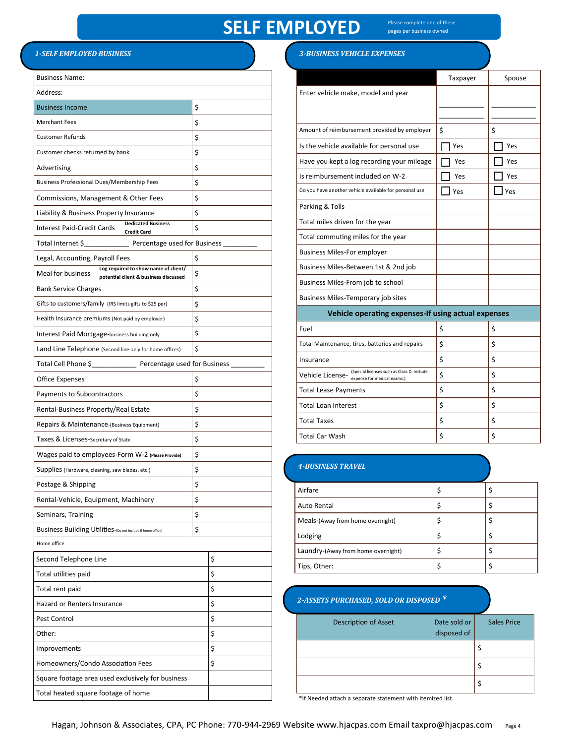### **SELF EMPLOYED**

Please complete one of these pages per business owned

#### *1-SELF EMPLOYED BUSINESS*

| <b>Business Name:</b>                                                                              |          |                |  |  |
|----------------------------------------------------------------------------------------------------|----------|----------------|--|--|
| Address:                                                                                           |          |                |  |  |
| <b>Business Income</b>                                                                             | \$       |                |  |  |
| <b>Merchant Fees</b>                                                                               | \$       |                |  |  |
| <b>Customer Refunds</b>                                                                            | \$       |                |  |  |
| Customer checks returned by bank                                                                   | \$       |                |  |  |
| Advertising                                                                                        | \$       |                |  |  |
| <b>Business Professional Dues/Membership Fees</b>                                                  | \$       |                |  |  |
| Commissions, Management & Other Fees                                                               | \$       |                |  |  |
| Liability & Business Property Insurance                                                            | \$       |                |  |  |
| <b>Dedicated Business</b><br><b>Interest Paid-Credit Cards</b><br><b>Credit Card</b>               | \$       |                |  |  |
| Total Internet \$____________________ Percentage used for Business _______                         |          |                |  |  |
| Legal, Accounting, Payroll Fees                                                                    | \$       |                |  |  |
| Log required to show name of client/<br>Meal for business<br>potential client & business discussed | \$       |                |  |  |
| <b>Bank Service Charges</b>                                                                        | \$       |                |  |  |
| Gifts to customers/family (IRS limits gifts to \$25 per)                                           | \$       |                |  |  |
| Health Insurance premiums (Not paid by employer)                                                   | \$       |                |  |  |
| Interest Paid Mortgage-business building only                                                      | \$       |                |  |  |
| Land Line Telephone (Second line only for home offices)                                            | \$       |                |  |  |
| Total Cell Phone \$ Percentage used for Business                                                   |          |                |  |  |
| Office Expenses                                                                                    | \$       |                |  |  |
| Payments to Subcontractors                                                                         | \$       |                |  |  |
| Rental-Business Property/Real Estate                                                               |          |                |  |  |
| Repairs & Maintenance-(Business Equipment)                                                         | \$       |                |  |  |
| Taxes & Licenses-Secretary of State                                                                |          |                |  |  |
| Wages paid to employees-Form W-2 (Please Provide)                                                  | \$<br>\$ |                |  |  |
| Supplies (Hardware, cleaning, saw blades, etc.)                                                    |          |                |  |  |
| Postage & Shipping                                                                                 | \$       | \$<br>\$<br>\$ |  |  |
| Rental-Vehicle, Equipment, Machinery                                                               |          |                |  |  |
| Seminars, Training                                                                                 |          |                |  |  |
| Business Building Utilities-(Do not include if home office)                                        |          |                |  |  |
| Home office                                                                                        |          |                |  |  |
| Second Telephone Line                                                                              |          | \$             |  |  |
| Total utilities paid                                                                               |          | \$             |  |  |
| Total rent paid                                                                                    | \$       |                |  |  |
| Hazard or Renters Insurance                                                                        | \$       |                |  |  |
| Pest Control                                                                                       |          | \$             |  |  |
| Other:                                                                                             |          | \$             |  |  |
| Improvements                                                                                       |          |                |  |  |
| Homeowners/Condo Association Fees                                                                  |          |                |  |  |
| Square footage area used exclusively for business                                                  |          |                |  |  |
| Total heated square footage of home                                                                |          |                |  |  |

#### *3-BUSINESS VEHICLE EXPENSES*

|                                                                                               | Taxpayer | Spouse |
|-----------------------------------------------------------------------------------------------|----------|--------|
| Enter vehicle make, model and year                                                            |          |        |
|                                                                                               |          |        |
|                                                                                               |          |        |
| Amount of reimbursement provided by employer                                                  | \$       | \$     |
| Is the vehicle available for personal use                                                     | Yes      | Yes    |
| Have you kept a log recording your mileage                                                    | Yes      | Yes    |
| Is reimbursement included on W-2                                                              | Yes      | Yes    |
| Do you have another vehicle available for personal use                                        | Yes      | Yes    |
| Parking & Tolls                                                                               |          |        |
| Total miles driven for the year                                                               |          |        |
| Total commuting miles for the year                                                            |          |        |
| <b>Business Miles-For employer</b>                                                            |          |        |
| Business Miles-Between 1st & 2nd job                                                          |          |        |
| Business Miles-From job to school                                                             |          |        |
| <b>Business Miles-Temporary job sites</b>                                                     |          |        |
| Vehicle operating expenses-If using actual expenses                                           |          |        |
| Fuel                                                                                          | \$       | \$     |
| Total Maintenance, tires, batteries and repairs                                               | \$       | \$     |
| Insurance                                                                                     | \$       | \$     |
| (Special licenses such as Class D. Include<br>Vehicle License-<br>expense for medical exams.) | \$       | \$     |
| <b>Total Lease Payments</b>                                                                   | \$       | \$     |
| <b>Total Loan Interest</b>                                                                    | Ś        | Ś      |

#### *4-BUSINESS TRAVEL*

|  | Airfare                            | \$ |  |
|--|------------------------------------|----|--|
|  | <b>Auto Rental</b>                 | Ş  |  |
|  | Meals-(Away from home overnight)   | Ş  |  |
|  | Lodging                            | \$ |  |
|  | Laundry-(Away from home overnight) | \$ |  |
|  | Tips, Other:                       |    |  |

Total Taxes  $\begin{vmatrix} 5 \end{vmatrix}$ Total Car Wash  $\begin{array}{ccc} \vert & \vert & \vert & \vert \end{array}$ 

#### *2-ASSETS PURCHASED, SOLD OR DISPOSED \**

| <b>Description of Asset</b> | Date sold or<br>disposed of | <b>Sales Price</b> |
|-----------------------------|-----------------------------|--------------------|
|                             |                             |                    |
|                             |                             |                    |
|                             |                             |                    |

\*If Needed attach a separate statement with itemized list.